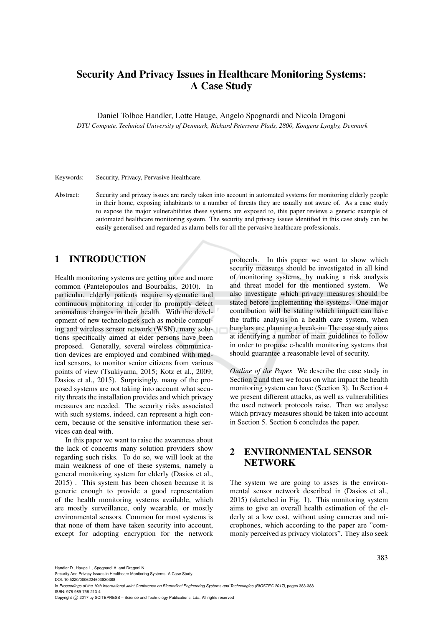# Security And Privacy Issues in Healthcare Monitoring Systems: A Case Study

Daniel Tolboe Handler, Lotte Hauge, Angelo Spognardi and Nicola Dragoni

*DTU Compute, Technical University of Denmark, Richard Petersens Plads, 2800, Kongens Lyngby, Denmark*

Keywords: Security, Privacy, Pervasive Healthcare.

Abstract: Security and privacy issues are rarely taken into account in automated systems for monitoring elderly people in their home, exposing inhabitants to a number of threats they are usually not aware of. As a case study to expose the major vulnerabilities these systems are exposed to, this paper reviews a generic example of automated healthcare monitoring system. The security and privacy issues identified in this case study can be easily generalised and regarded as alarm bells for all the pervasive healthcare professionals.

## 1 INTRODUCTION

Health monitoring systems are getting more and more common (Pantelopoulos and Bourbakis, 2010). In particular, elderly patients require systematic and continuous monitoring in order to promptly detect anomalous changes in their health. With the development of new technologies such as mobile computing and wireless sensor network (WSN), many solutions specifically aimed at elder persons have been proposed. Generally, several wireless communication devices are employed and combined with medical sensors, to monitor senior citizens from various points of view (Tsukiyama, 2015; Kotz et al., 2009; Dasios et al., 2015). Surprisingly, many of the proposed systems are not taking into account what security threats the installation provides and which privacy measures are needed. The security risks associated with such systems, indeed, can represent a high concern, because of the sensitive information these services can deal with.

In this paper we want to raise the awareness about the lack of concerns many solution providers show regarding such risks. To do so, we will look at the main weakness of one of these systems, namely a general monitoring system for elderly (Dasios et al., 2015) . This system has been chosen because it is generic enough to provide a good representation of the health monitoring systems available, which are mostly surveillance, only wearable, or mostly environmental sensors. Common for most systems is that none of them have taken security into account, except for adopting encryption for the network

protocols. In this paper we want to show which security measures should be investigated in all kind of monitoring systems, by making a risk analysis and threat model for the mentioned system. We also investigate which privacy measures should be stated before implementing the systems. One major contribution will be stating which impact can have the traffic analysis on a health care system, when burglars are planning a break-in. The case study aims at identifying a number of main guidelines to follow in order to propose e-health monitoring systems that should guarantee a reasonable level of security.

*Outline of the Paper.* We describe the case study in Section 2 and then we focus on what impact the health monitoring system can have (Section 3). In Section 4 we present different attacks, as well as vulnerabilities the used network protocols raise. Then we analyse which privacy measures should be taken into account in Section 5. Section 6 concludes the paper.

## 2 ENVIRONMENTAL SENSOR NETWORK

The system we are going to asses is the environmental sensor network described in (Dasios et al., 2015) (sketched in Fig. 1). This monitoring system aims to give an overall health estimation of the elderly at a low cost, without using cameras and microphones, which according to the paper are "commonly perceived as privacy violators". They also seek

Handler D., Hauge L., Spognardi A. and Dragoni N.

Security And Privacy Issues in Healthcare Monitoring Systems: A Case Study.

DOI: 10.5220/0006224603830388 In *Proceedings of the 10th International Joint Conference on Biomedical Engineering Systems and Technologies (BIOSTEC 2017)*, pages 383-388 ISBN: 978-989-758-213-4

Copyright © 2017 by SCITEPRESS - Science and Technology Publications, Lda. All rights reserved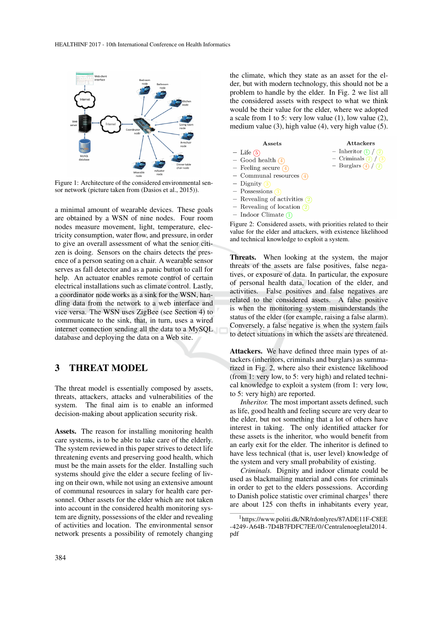

Figure 1: Architecture of the considered environmental sensor network (picture taken from (Dasios et al., 2015)).

a minimal amount of wearable devices. These goals are obtained by a WSN of nine nodes. Four room nodes measure movement, light, temperature, electricity consumption, water flow, and pressure, in order to give an overall assessment of what the senior citizen is doing. Sensors on the chairs detects the presence of a person seating on a chair. A wearable sensor serves as fall detector and as a panic button to call for help. An actuator enables remote control of certain electrical installations such as climate control. Lastly, a coordinator node works as a sink for the WSN, handling data from the network to a web interface and vice versa. The WSN uses ZigBee (see Section 4) to communicate to the sink, that, in turn, uses a wired internet connection sending all the data to a MySQL database and deploying the data on a Web site.

### 3 THREAT MODEL

The threat model is essentially composed by assets, threats, attackers, attacks and vulnerabilities of the system. The final aim is to enable an informed decision-making about application security risk.

Assets. The reason for installing monitoring health care systems, is to be able to take care of the elderly. The system reviewed in this paper strives to detect life threatening events and preserving good health, which must be the main assets for the elder. Installing such systems should give the elder a secure feeling of living on their own, while not using an extensive amount of communal resources in salary for health care personnel. Other assets for the elder which are not taken into account in the considered health monitoring system are dignity, possessions of the elder and revealing of activities and location. The environmental sensor network presents a possibility of remotely changing

the climate, which they state as an asset for the elder, but with modern technology, this should not be a problem to handle by the elder. In Fig. 2 we list all the considered assets with respect to what we think would be their value for the elder, where we adopted a scale from 1 to 5: very low value (1), low value (2), medium value (3), high value (4), very high value (5).

Attackers

- Inheritor  $\left( \frac{1}{2} \right)$  /  $\left( \frac{2}{2} \right)$ 

- Criminals  $\overline{2}/\overline{3}$ 

- Burglars  $\overline{4}/\overline{2}$ 

Assets  $-$  Life  $(5)$ 

 $\frac{1}{2}$ 

 $\overline{a}$ 

 $\frac{1}{2}$ 

- Good health  $\overline{4}$ Feeling secure  $\overline{4}$ Communal resources  $\left(4\right)$ Dignity Possessions  $\left(3\right)$
- $\frac{1}{2}$ Revealing of activities  $(2)$
- Revealing of location  $\boxed{2}$  $\equiv$
- Indoor Climate  $(1)$

Figure 2: Considered assets, with priorities related to their value for the elder and attackers, with existence likelihood and technical knowledge to exploit a system.

Threats. When looking at the system, the major threats of the assets are false positives, false negatives, or exposure of data. In particular, the exposure of personal health data, location of the elder, and activities. False positives and false negatives are related to the considered assets. A false positive is when the monitoring system misunderstands the status of the elder (for example, raising a false alarm). Conversely, a false negative is when the system fails to detect situations in which the assets are threatened.

Attackers. We have defined three main types of attackers (inheritors, criminals and burglars) as summarized in Fig. 2, where also their existence likelihood (from 1: very low, to 5: very high) and related technical knowledge to exploit a system (from 1: very low, to 5: very high) are reported.

*Inheritor.* The most important assets defined, such as life, good health and feeling secure are very dear to the elder, but not something that a lot of others have interest in taking. The only identified attacker for these assets is the inheritor, who would benefit from an early exit for the elder. The inheritor is defined to have less technical (that is, user level) knowledge of the system and very small probability of existing.

*Criminals.* Dignity and indoor climate could be used as blackmailing material and cons for criminals in order to get to the elders possessions. According to Danish police statistic over criminal charges<sup>1</sup> there are about 125 con thefts in inhabitants every year,

<sup>1</sup>https://www.politi.dk/NR/rdonlyres/87ADE11F-C8EE -4249-A64B-7D4B7FDFC7EE/0/ Centralenoegletal2014. pdf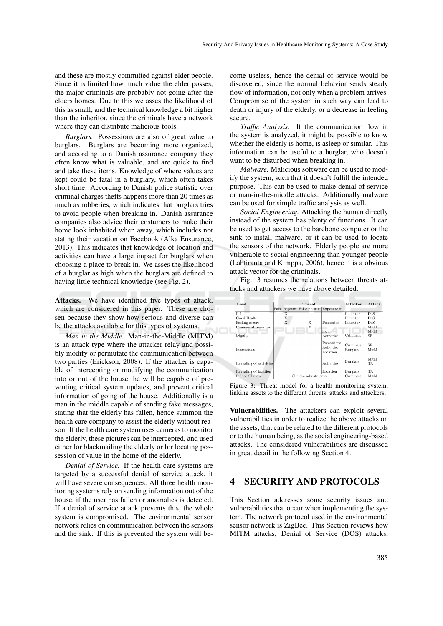and these are mostly committed against elder people. Since it is limited how much value the elder posses, the major criminals are probably not going after the elders homes. Due to this we asses the likelihood of this as small, and the technical knowledge a bit higher than the inheritor, since the criminals have a network where they can distribute malicious tools.

*Burglars.* Possessions are also of great value to burglars. Burglars are becoming more organized, and according to a Danish assurance company they often know what is valuable, and are quick to find and take these items. Knowledge of where values are kept could be fatal in a burglary, which often takes short time. According to Danish police statistic over criminal charges thefts happens more than 20 times as much as robberies, which indicates that burglars tries to avoid people when breaking in. Danish assurance companies also advice their costumers to make their home look inhabited when away, which includes not stating their vacation on Facebook (Alka Ensurance, 2013). This indicates that knowledge of location and activities can have a large impact for burglars when choosing a place to break in. We asses the likelihood of a burglar as high when the burglars are defined to having little technical knowledge (see Fig. 2).

Attacks. We have identified five types of attack, which are considered in this paper. These are chosen because they show how serious and diverse can be the attacks available for this types of systems.

*Man in the Middle.* Man-in-the-Middle (MITM) is an attack type where the attacker relay and possibly modify or permutate the communication between two parties (Erickson, 2008). If the attacker is capable of intercepting or modifying the communication into or out of the house, he will be capable of preventing critical system updates, and prevent critical information of going of the house. Additionally is a man in the middle capable of sending fake messages, stating that the elderly has fallen, hence summon the health care company to assist the elderly without reason. If the health care system uses cameras to monitor the elderly, these pictures can be intercepted, and used either for blackmailing the elderly or for locating possession of value in the home of the elderly.

*Denial of Service.* If the health care systems are targeted by a successful denial of service attack, it will have severe consequences. All three health monitoring systems rely on sending information out of the house, if the user has fallen or anomalies is detected. If a denial of service attack prevents this, the whole system is compromised. The environmental sensor network relies on communication between the sensors and the sink. If this is prevented the system will become useless, hence the denial of service would be discovered, since the normal behavior sends steady flow of information, not only when a problem arrives. Compromise of the system in such way can lead to death or injury of the elderly, or a decrease in feeling secure.

*Traffic Analysis.* If the communication flow in the system is analyzed, it might be possible to know whether the elderly is home, is asleep or similar. This information can be useful to a burglar, who doesn't want to be disturbed when breaking in.

*Malware.* Malicious software can be used to modify the system, such that it doesn't fulfill the intended purpose. This can be used to make denial of service or man-in-the-middle attacks. Additionally malware can be used for simple traffic analysis as well.

*Social Engineering.* Attacking the human directly instead of the system has plenty of functions. It can be used to get access to the barebone computer or the sink to install malware, or it can be used to locate the sensors of the network. Elderly people are more vulnerable to social engineering than younger people (Lahtiranta and Kimppa, 2006), hence it is a obvious attack vector for the criminals.

Fig. 3 resumes the relations between threats attacks and attackers we have above detailed.

| <b>Asset</b>            | <b>Threat</b>                             |   |                                       | Attacker              | Attack            |
|-------------------------|-------------------------------------------|---|---------------------------------------|-----------------------|-------------------|
|                         | False negative False positive Exposure of |   |                                       |                       |                   |
| Life                    |                                           |   |                                       | Inheritor             | DoS               |
| Good Health             | Х                                         |   |                                       | Inheritor             | $_{\rm DoS}$      |
| Feeling secure          | X                                         | Х | Possession                            | Inheritor             | DoS               |
| Communal resources      |                                           | Х |                                       |                       | MitM              |
|                         |                                           |   | Skin                                  |                       | MitM              |
| Dignity                 |                                           |   | Activities                            | Criminals             | SE                |
| Possessions             |                                           |   | Possessions<br>Activities<br>Location | Criminals<br>Burglars | <b>SE</b><br>MitM |
| Revealing of activities |                                           |   | Activities                            | <b>Burglars</b>       | MitM<br>TA        |
| Revealing of location   |                                           |   | Location                              | <b>Burglars</b>       | TA                |
| Indoor Climate          | Climate adjustments                       |   | Criminals                             | MitM                  |                   |

Figure 3: Threat model for a health monitoring system, linking assets to the different threats, attacks and attackers.

Vulnerabilities. The attackers can exploit several vulnerabilities in order to realize the above attacks on the assets, that can be related to the different protocols or to the human being, as the social engineering-based attacks. The considered vulnerabilities are discussed in great detail in the following Section 4.

#### 4 SECURITY AND PROTOCOLS

This Section addresses some security issues and vulnerabilities that occur when implementing the system. The network protocol used in the environmental sensor network is ZigBee. This Section reviews how MITM attacks, Denial of Service (DOS) attacks,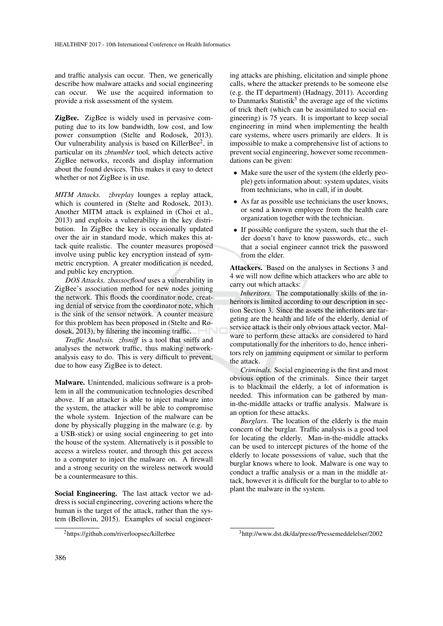and traffic analysis can occur. Then, we generically describe how malware attacks and social engineering can occur. We use the acquired information to provide a risk assessment of the system.

ZigBee. ZigBee is widely used in pervasive computing due to its low bandwidth, low cost, and low power consumption (Stelte and Rodosek, 2013). Our vulnerability analysis is based on KillerBee<sup>2</sup>, in particular on its *zbtumbler* tool, which detects active ZigBee networks, records and display information about the found devices. This makes it easy to detect whether or not ZigBee is in use.

*MITM Attacks. zbreplay* lounges a replay attack, which is countered in (Stelte and Rodosek, 2013). Another MITM attack is explained in (Choi et al., 2013) and exploits a vulnerability in the key distribution. In ZigBee the key is occasionally updated over the air in standard mode, which makes this attack quite realistic. The counter measures proposed involve using public key encryption instead of symmetric encryption. A greater modification is needed, and public key encryption.

*DOS Attacks. zbassocflood* uses a vulnerability in ZigBee's association method for new nodes joining the network. This floods the coordinator node, creating denial of service from the coordinator note, which is the sink of the sensor network. A counter measure for this problem has been proposed in (Stelte and Rodosek, 2013), by filtering the incoming traffic.

*Traffic Analysis. zbsniff* is a tool that sniffs and analyses the network traffic, thus making networkanalysis easy to do. This is very difficult to prevent, due to how easy ZigBee is to detect.

Malware. Unintended, malicious software is a problem in all the communication technologies described above. If an attacker is able to inject malware into the system, the attacker will be able to compromise the whole system. Injection of the malware can be done by physically plugging in the malware (e.g. by a USB-stick) or using social engineering to get into the house of the system. Alternatively is it possible to access a wireless router, and through this get access to a computer to inject the malware on. A firewall and a strong security on the wireless network would be a countermeasure to this.

Social Engineering. The last attack vector we address is social engineering, covering actions where the human is the target of the attack, rather than the system (Bellovin, 2015). Examples of social engineering attacks are phishing, elicitation and simple phone calls, where the attacker pretends to be someone else (e.g. the IT department) (Hadnagy, 2011). According to Danmarks Statistik<sup>3</sup> the average age of the victims of trick theft (which can be assimilated to social engineering) is 75 years. It is important to keep social engineering in mind when implementing the health care systems, where users primarily are elders. It is impossible to make a comprehensive list of actions to prevent social engineering, however some recommendations can be given:

- Make sure the user of the system (the elderly people) gets information about: system updates, visits from technicians, who in call, if in doubt.
- As far as possible use technicians the user knows, or send a known employee from the health care organization together with the technician.
- If possible configure the system, such that the elder doesn't have to know passwords, etc., such that a social engineer cannot trick the password from the elder.

Attackers. Based on the analyses in Sections 3 and 4 we will now define which attackers who are able to carry out which attacks:

*Inheritors.* The computationally skills of the inheritors is limited according to our description in section Section 3. Since the assets the inheritors are targeting are the health and life of the elderly, denial of service attack is their only obvious attack vector. Malware to perform these attacks are considered to hard computationally for the inheritors to do, hence inheritors rely on jamming equipment or similar to perform the attack.

*Criminals.* Social engineering is the first and most obvious option of the criminals. Since their target is to blackmail the elderly, a lot of information is needed. This information can be gathered by manin-the-middle attacks or traffic analysis. Malware is an option for these attacks.

*Burglars.* The location of the elderly is the main concern of the burglar. Traffic analysis is a good tool for locating the elderly. Man-in-the-middle attacks can be used to intercept pictures of the home of the elderly to locate possessions of value, such that the burglar knows where to look. Malware is one way to conduct a traffic analysis or a man in the middle attack, however it is difficult for the burglar to to able to plant the malware in the system.

<sup>2</sup>https://github.com/riverloopsec/killerbee

<sup>3</sup>http://www.dst.dk/da/presse/Pressemeddelelser/2002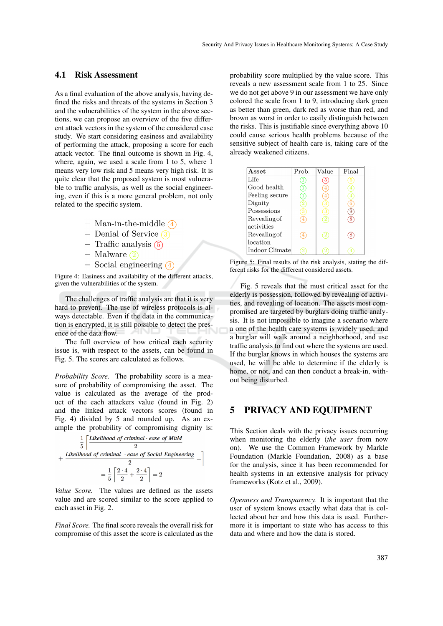#### 4.1 Risk Assessment

As a final evaluation of the above analysis, having defined the risks and threats of the systems in Section 3 and the vulnerabilities of the system in the above sections, we can propose an overview of the five different attack vectors in the system of the considered case study. We start considering easiness and availability of performing the attack, proposing a score for each attack vector. The final outcome is shown in Fig. 4, where, again, we used a scale from 1 to 5, where 1 means very low risk and 5 means very high risk. It is quite clear that the proposed system is most vulnerable to traffic analysis, as well as the social engineering, even if this is a more general problem, not only related to the specific system.

- Man-in-the-middle  $\overline{4}$
- Denial of Service  $\Omega$
- $-$  Traffic analysis  $(5)$
- Malware  $(2)$
- $-$  Social engineering  $\overline{4}$

Figure 4: Easiness and availability of the different attacks, given the vulnerabilities of the system.

The challenges of traffic analysis are that it is very hard to prevent. The use of wireless protocols is always detectable. Even if the data in the communication is encrypted, it is still possible to detect the presence of the data flow.

The full overview of how critical each security issue is, with respect to the assets, can be found in Fig. 5. The scores are calculated as follows.

*Probability Score.* The probability score is a measure of probability of compromising the asset. The value is calculated as the average of the product of the each attackers value (found in Fig. 2) and the linked attack vectors scores (found in Fig. 4) divided by 5 and rounded up. As an example the probability of compromising dignity is:

$$
\frac{1}{5} \left[ \frac{Likelihood\ of\ criminal\ \cdot ease\ of\ MitM}{2} + \frac{Likelihood\ of\ criminal\ \cdot ease\ of\ Social\ Engineering}{2} = \right]
$$

$$
= \frac{1}{5} \left[ \frac{2 \cdot 4}{2} + \frac{2 \cdot 4}{2} \right] = 2
$$

*Value Score.* The values are defined as the assets value and are scored similar to the score applied to each asset in Fig. 2.

*Final Score.* The final score reveals the overall risk for compromise of this asset the score is calculated as the

probability score multiplied by the value score. This reveals a new assessment scale from 1 to 25. Since we do not get above 9 in our assessment we have only colored the scale from 1 to 9, introducing dark green as better than green, dark red as worse than red, and brown as worst in order to easily distinguish between the risks. This is justifiable since everything above 10 could cause serious health problems because of the sensitive subject of health care is, taking care of the already weakened citizens.

| Asset.         | Prob. | Value          | Final |
|----------------|-------|----------------|-------|
| Life           |       | 5              |       |
| Good health    |       |                |       |
| Feeling secure | 1     |                |       |
| Dignity        | 2     | З              |       |
| Possessions    |       | 3              |       |
| Revealing of   | 4     | $^{\circ}2$    |       |
| activities     |       |                |       |
| Revealing of   | 4     | $^{\prime}2$   |       |
| location       |       |                |       |
| Indoor Climate |       | $\overline{2}$ |       |

Figure 5: Final results of the risk analysis, stating the different risks for the different considered assets.

Fig. 5 reveals that the must critical asset for the elderly is possession, followed by revealing of activities, and revealing of location. The assets most compromised are targeted by burglars doing traffic analysis. It is not impossible to imagine a scenario where a one of the health care systems is widely used, and a burglar will walk around a neighborhood, and use traffic analysis to find out where the systems are used. If the burglar knows in which houses the systems are used, he will be able to determine if the elderly is home, or not, and can then conduct a break-in, without being disturbed.

#### 5 PRIVACY AND EQUIPMENT

This Section deals with the privacy issues occurring when monitoring the elderly (*the user* from now on). We use the Common Framework by Markle Foundation (Markle Foundation, 2008) as a base for the analysis, since it has been recommended for health systems in an extensive analysis for privacy frameworks (Kotz et al., 2009).

*Openness and Transparency.* It is important that the user of system knows exactly what data that is collected about her and how this data is used. Furthermore it is important to state who has access to this data and where and how the data is stored.